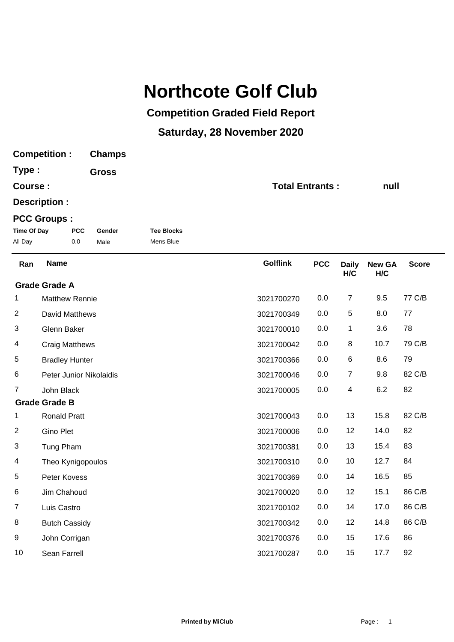## **Northcote Golf Club**

## **Competition Graded Field Report**

## **Saturday, 28 November 2020**

| <b>Competition:</b>              |                         |     | <b>Champs</b> |                   |                        |            |                     |                      |              |
|----------------------------------|-------------------------|-----|---------------|-------------------|------------------------|------------|---------------------|----------------------|--------------|
| Type:<br>Course:                 |                         |     | <b>Gross</b>  |                   |                        |            |                     |                      |              |
|                                  |                         |     |               |                   | <b>Total Entrants:</b> |            |                     | null                 |              |
|                                  | Description :           |     |               |                   |                        |            |                     |                      |              |
|                                  | <b>PCC Groups:</b>      |     |               |                   |                        |            |                     |                      |              |
| <b>Time Of Day</b><br><b>PCC</b> |                         |     | Gender        | <b>Tee Blocks</b> |                        |            |                     |                      |              |
| All Day                          |                         | 0.0 | Male          | Mens Blue         |                        |            |                     |                      |              |
| Ran                              | <b>Name</b>             |     |               |                   | <b>Golflink</b>        | <b>PCC</b> | <b>Daily</b><br>H/C | <b>New GA</b><br>H/C | <b>Score</b> |
|                                  | <b>Grade Grade A</b>    |     |               |                   |                        |            |                     |                      |              |
| 1                                | <b>Matthew Rennie</b>   |     |               |                   | 3021700270             | 0.0        | 7                   | 9.5                  | 77 C/B       |
| $\overline{2}$                   | David Matthews          |     |               |                   | 3021700349             | 0.0        | $\mathbf 5$         | 8.0                  | 77           |
| 3                                | Glenn Baker             |     |               |                   | 3021700010             | 0.0        | 1                   | 3.6                  | 78           |
| 4                                | <b>Craig Matthews</b>   |     |               |                   | 3021700042             | 0.0        | 8                   | 10.7                 | 79 C/B       |
| 5                                | <b>Bradley Hunter</b>   |     |               |                   | 3021700366             | 0.0        | 6                   | 8.6                  | 79           |
| 6                                | Peter Junior Nikolaidis |     |               |                   | 3021700046             | 0.0        | $\overline{7}$      | 9.8                  | 82 C/B       |
| 7                                | John Black              |     |               |                   | 3021700005             | 0.0        | 4                   | 6.2                  | 82           |
|                                  | <b>Grade Grade B</b>    |     |               |                   |                        |            |                     |                      |              |
| 1                                | <b>Ronald Pratt</b>     |     |               |                   | 3021700043             | 0.0        | 13                  | 15.8                 | 82 C/B       |
| $\overline{2}$                   | <b>Gino Plet</b>        |     |               |                   | 3021700006             | 0.0        | 12                  | 14.0                 | 82           |
| 3                                | Tung Pham               |     |               |                   | 3021700381             | 0.0        | 13                  | 15.4                 | 83           |
| 4                                | Theo Kynigopoulos       |     |               |                   | 3021700310             | 0.0        | 10                  | 12.7                 | 84           |
| 5                                | Peter Kovess            |     |               |                   | 3021700369             | 0.0        | 14                  | 16.5                 | 85           |
| 6                                | Jim Chahoud             |     |               |                   | 3021700020             | 0.0        | 12                  | 15.1                 | 86 C/B       |
| $\overline{7}$                   | Luis Castro             |     |               |                   | 3021700102             | 0.0        | 14                  | 17.0                 | 86 C/B       |
| 8                                | <b>Butch Cassidy</b>    |     |               |                   | 3021700342             | 0.0        | 12                  | 14.8                 | 86 C/B       |
| 9                                | John Corrigan           |     |               |                   | 3021700376             | 0.0        | 15                  | 17.6                 | 86           |
| 10                               | Sean Farrell            |     |               |                   | 3021700287             | 0.0        | 15                  | 17.7                 | 92           |